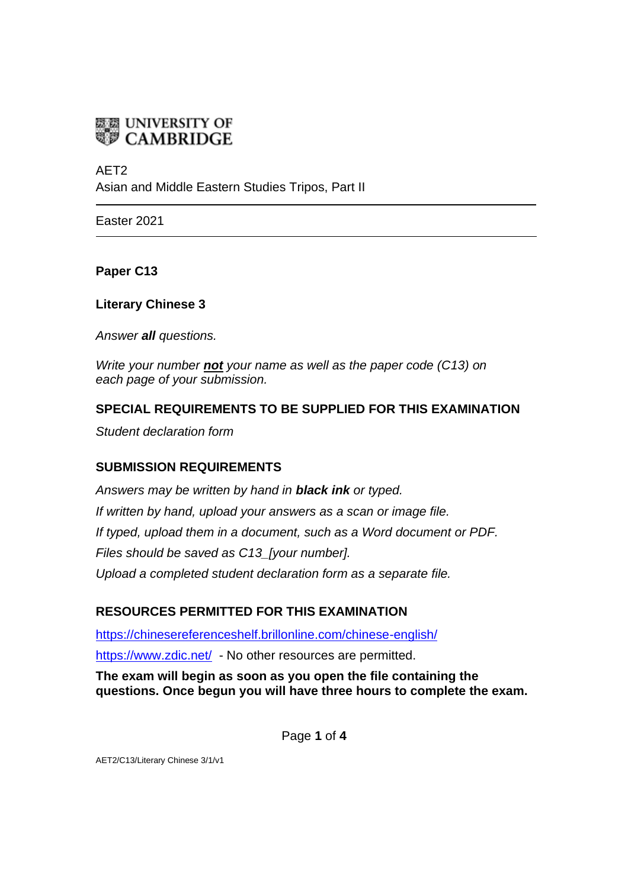

AFT<sub>2</sub>

Asian and Middle Eastern Studies Tripos, Part II

Easter 2021

**Paper C13**

**Literary Chinese 3**

*Answer all questions.*

*Write your number not your name as well as the paper code (C13) on each page of your submission.*

# **SPECIAL REQUIREMENTS TO BE SUPPLIED FOR THIS EXAMINATION**

*Student declaration form*

## **SUBMISSION REQUIREMENTS**

*Answers may be written by hand in black ink or typed. If written by hand, upload your answers as a scan or image file. If typed, upload them in a document, such as a Word document or PDF. Files should be saved as C13\_[your number]. Upload a completed student declaration form as a separate file.*

# **RESOURCES PERMITTED FOR THIS EXAMINATION**

<https://chinesereferenceshelf.brillonline.com/chinese-english/> <https://www.zdic.net/> - No other resources are permitted.

**The exam will begin as soon as you open the file containing the questions. Once begun you will have three hours to complete the exam.**

Page **1** of **4**

AET2/C13/Literary Chinese 3/1/v1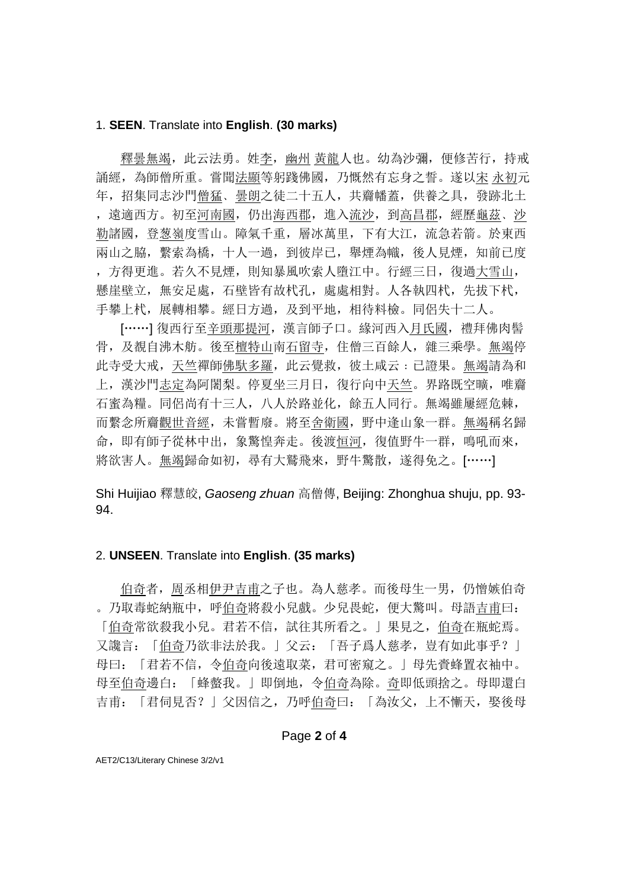### 1. **SEEN**. Translate into **English**. **(30 marks)**

 釋曇無竭,此云法勇。姓李,幽州 黃龍人也。幼為沙彌,便修苦行,持戒 誦經,為師僧所重。嘗聞法顯等躬踐佛國,乃慨然有忘身之誓。遂以宋 永初元 年,招集同志沙門僧猛﹑曇朗之徒二十五人,共齎幡蓋,供養之具,發跡北土 ,遠適西方。初至河南國,仍出海西郡,進入流沙,到高昌郡,經歷龜茲﹑沙 勒諸國,登葱嶺度雪山。障氣千重,層冰萬里,下有大江,流急若箭。於東西 兩山之脇,繫索為橋,十人一過,到彼岸已,舉煙為幟,後人見煙,知前已度 ,方得更進。若久不見煙,則知暴風吹索人墮江中。行經三日,復過大雪山, 懸崖壁立, 無安足處, 石壁皆有故杙孔, 處處相對。人各執四杙, 先拔下杙, 手攀上杙,展轉相攀。經日方過,及到平地,相待料檢。同侶失十二人。

[……] 復西行至辛頭那提河, 漢言師子口。緣河西入月氏國, 禮拜佛肉髻 骨,及覩自沸木舫。後至檀特山南石留寺,住僧三百餘人,雜三乘學。無竭停 此寺受大戒,天竺禪師佛馱多羅,此云覺救,彼土咸云:已證果。無竭請為和 上,漢沙門志定為阿闍梨。停夏坐三月日,復行向中天竺。界路既空曠,唯齎 石蜜為糧。同侶尚有十三人,八人於路並化,餘五人同行。無竭雖屢經危棘, 而繫念所齎觀世音經,未嘗暫廢。將至舍衛國,野中逢山象一群。無竭稱名歸 命,即有師子從林中出,象驚惶奔走。後渡恒河,復值野牛一群,鳴吼而來, 將欲害人。無竭歸命如初,尋有大鷲飛來,野牛驚散,遂得免之。[……]

Shi Huijiao 釋慧皎, *Gaoseng zhuan* 高僧傳, Beijing: Zhonghua shuju, pp. 93- 94.

#### 2. **UNSEEN**. Translate into **English**. **(35 marks)**

 伯奇者,周丞相伊尹吉甫之子也。為人慈孝。而後母生一男,仍憎嫉伯奇 。乃取毒蛇納瓶中,呼伯奇將殺小兒戲。少兒畏蛇,便大驚叫。母語吉甫曰: 「伯奇常欲殺我小兒。君若不信,試往其所看之。」果見之,伯奇在瓶蛇焉。 又讒言:「伯奇乃欲非法於我。」父云:「吾子爲人慈孝,豈有如此事乎?」 母曰:「君若不信,令伯奇向後遠取菜,君可密窺之。」母先賫蜂置衣袖中。 母至伯奇邊白:「蜂螫我。」即倒地,令伯奇為除。奇即低頭捨之。母即還白 吉甫:「君伺見否?」父因信之,乃呼伯奇曰:「為汝父,上不慚天,娶後母

### Page **2** of **4**

AET2/C13/Literary Chinese 3/2/v1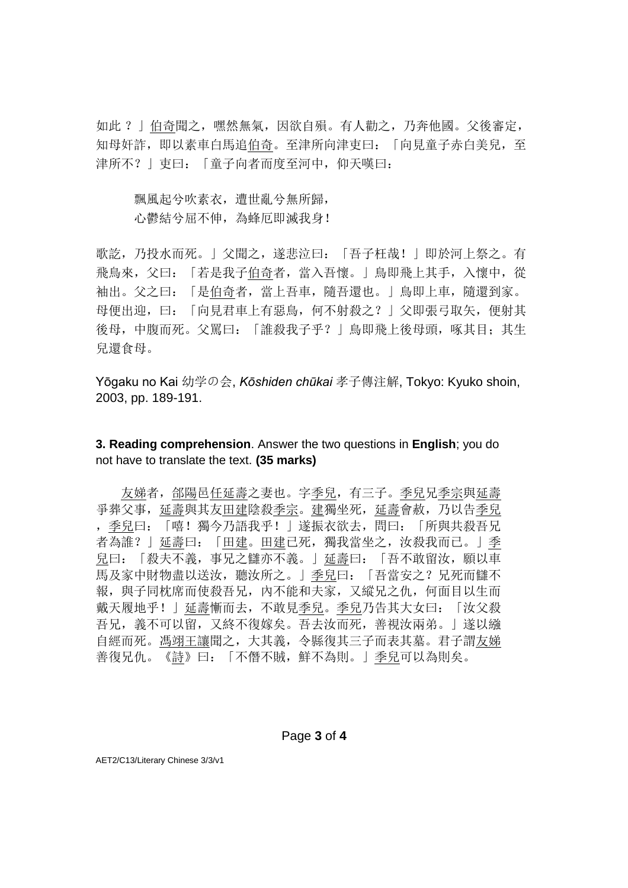如此 ?」伯奇聞之,嘿然無氣,因欲自殞。有人勸之,乃奔他國。父後審定, 知母奸詐,即以素車白馬追伯奇。至津所向津吏曰:「向見童子赤白美兒,至 津所不?」吏曰: 「童子向者而度至河中, 仰天嘆曰:

飄風起兮吹素衣,遭世亂兮無所歸, 心鬱結兮屈不伸,為蜂厄即滅我身!

歌訖,乃投水而死。」父聞之,遂悲泣曰:「吾子枉哉!」即於河上祭之。有 飛鳥來,父曰:「若是我子伯奇者,當入吾懷。」鳥即飛上其手,入懷中,從 袖出。父之曰:「是伯奇者,當上吾車,隨吾還也。」鳥即上車,隨還到家。 母便出迎,曰:「向見君車上有惡鳥,何不射殺之?」父即張弓取矢,便射其 後母,中腹而死。父罵曰:「誰殺我子乎?」鳥即飛上後母頭,啄其目;其生 兒還食母。

Yōgaku no Kai 幼学の会, *Kōshiden chūkai* 孝子傳注解, Tokyo: Kyuko shoin, 2003, pp. 189-191.

## **3. Reading comprehension**. Answer the two questions in **English**; you do not have to translate the text. **(35 marks)**

友娣者, 郃陽邑任延壽之妻也。字季兒, 有三子。季兒兄季宗與延壽 爭葬父事,延壽與其友田建陰殺季宗。建獨坐死,延壽會赦,乃以告季兒 ,季兒曰:「嘻!獨今乃語我乎!」遂振衣欲去,問曰:「所與共殺吾兄 者為誰?」延壽曰:「田建。田建已死,獨我當坐之,汝殺我而已。」季 兒曰:「殺夫不義,事兄之讎亦不義。」延壽曰:「吾不敢留汝,願以車 馬及家中財物盡以送汝,聽汝所之。」季兒曰:「吾當安之?兄死而讎不 報,與子同枕席而使殺吾兄, 內不能和夫家, 又縱兄之仇, 何面目以生而 戴天履地乎!」延壽慚而去,不敢見季兒。季兒乃告其大女曰:「汝父殺 吾兄,義不可以留,又終不復嫁矣。吾去汝而死,善視汝兩弟。」遂以繈 自經而死。馮翊王讓聞之,大其義,令縣復其三子而表其墓。君子謂友娣 善復兄仇。[《詩》](https://ctext.org/book-of-poetry)曰:[「不僭不賊,鮮不為則。」](https://ctext.org/book-of-poetry/yi?searchu=%E4%B8%8D%E5%83%AD%E4%B8%8D%E8%B3%8A%EF%BC%8C%E9%AE%AE%E4%B8%8D%E7%82%BA%E5%89%87%E3%80%82&searchmode=showall#result)季兒可以為則矣。

#### Page **3** of **4**

AET2/C13/Literary Chinese 3/3/v1